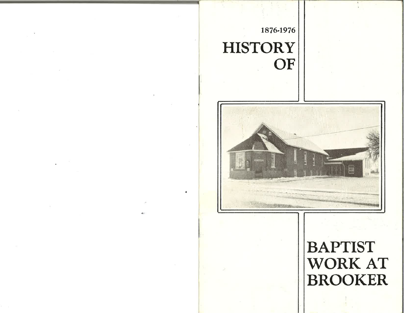## 1876.L976 **HISTORY** OF

I



## BAPTIST WORK AT BROOKER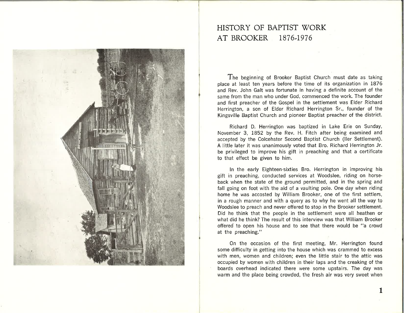

## HISTORY OF BAPTIST WORK AT BROOKER 1876.1976

The beginning of Brooker Baptist Church must date as taking place at least ten years before the time of its organization in 1876 and Rev. John Galt was fortunate in having a definite account of the same from the man who under God, commenced the work. The founder and first preacher of the Gospel in the settlement was Elder Richard Herrington, a son of Elder Richard Herrington Sr., founder of the Kingsville Baptist Church and pioneer Baptist preacher of the district.

Richard D. Herrington was baptized in Lake Erie on Sunday, November 3, 1852 by the Rev. H. Fitch after being examined and accepted by the Colcehster Second Baptist Church (ller Settlement). A Iittle later it was unanimously voted that Bro. Richard Herrington Jr. be privileged to improve his gift in preaching and that a certificate to that effect be given to him.

In the early Eighteen-sixties Bro. Herrington in improving his gift in preaching, conducted services at Woodslee, riding on horseback when the state of the ground permitted, and in the spring and fall going on foot with the aid of a vaulting pole. One day when riding home he was accosted by William Brooker, one of the first settlers, in a rough manner and with a query as to why he went all the way to Woodslee to preach and never offered to stop in the Brooker settlement. Did he think that the people in the settlement were all heathen or what did he think? The result of this interview was that William Brooker offered to open his house and to see that there would be "a crowd at the preaching."

On the occasion of the first meeting, Mr. Herrington found some difficulty in getting into the house which was crammed to excess with men, women and children; even the little stair to the attic was occupied by women with children in their laps and the creaking of the boards overhead indicated there were some upstairs. The day was warm and the place being crowded, the fresh air was very sweet when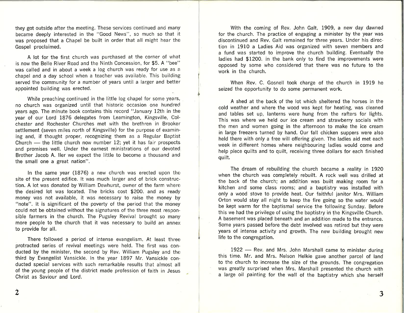they got outside after the meeting. These'services continued and many became deeply interested in the "Good News", so much so that it was proposed that a Chapel be built in order that all might hear the Gospel proclaimed.

A lot for the first church was purchased at the corner of what is now the Belle River Road and the Ninth Concession, for \$5. A "bee" was called and in about a week a log church was ready for use as <sup>a</sup> chapel and a day school when a teacher was available. This building served the community for a number of years until a larger and better appointed building was erected

While preaching continued in the little log chapel for some years, no church was organized until that historic occasion one hundrecl years ago. The minute book contains this record "January 12th in the year of our Lord 1876 delegates from Leamington, Kingsville, Col' chester and Rochester Churches met with the brethren in Brooker settlement (seven miles north of Kingsville) for the purpose of examining and, if thought proper, recognizing them as a Regular Baptist Church — the little church now number 12; yet it has fair prospects endren – the nure endren now number 12, yet it has fair prospects<br>and promises well. Under the earnest ministrations of our devoted Brother Jacob A. ller we expect the little to become a thousand and the small one a great nation".

In the same year  $(1876)$  a new church was erected upon the site of the present edifice. lt was much larger and of brick construction. A lot was donated by William Dewhurst, owner of the farm where the desired lot was located. The bricks cost \$200, and as ready money was not available, it was necessary to raise the money by "note". lt is significant of the poverty of the period that the money could not be obtained without the signatures of the three most responsible farmers in the church. The Pugsley Revival brought so many more people to the church that it was necessary to build an annex to provide for all.

There followed a period of intense evangelism. At least three protracted series of revival meetings were held. The first was conducted by the minister, the second by Rev. William Pugsley and the third by Evangelist Vansickle. ln the year IB97 Mr. Vansickle con. ducted special services with such remarkable results that almost all of the young people of the district made profession of faith in Jesus Christ as Saviour and Lord.

With the coming of Rev. John Galt, 1909, a new day dawned for the church. The practice of engaging a minister by the year was discontinued and Rev. Galt remained for three years. Under his direction in 1910 a Ladies Aid was organized with seven members and a fund was started to improve the church building. Eventually the ladies had \$1200, in the bank only to find the improvements were opposed by some who considered that there was no future to the work in the church.

When Rev. C. Gosnell took charge of the church in 1919 he seized the opportunity to do some permanent work.

<sup>}</sup>

A shed at the back of the lot which sheltered the horses in the cold weather and where the wood was kept for heating, was cleaned and tables set up, lanterns were hung from the rafters for lights. This was where we held our ice cream and strawberry socials with the men and women going in the afternoon to make the ice cream in large freezers turned by hand. 0ur fall chicken suppers were also held there with only a free will offering given. The ladies aid met each week in different homes where neighbouring ladies would come and help piece quilts and to quilt, receiving three dollars for each finished quilt.

The dream of rebuilding the church became a reality in 1920 when the church was completely rebuilt. A rock well was drilled at the back of the church; an addition was built making room for <sup>a</sup> kitchen and some class rooms; and a baptistry was installed with only a wood stove to provide heat. Our faithful janitor Mrs. William Orton would stay all night to keep the fire going so the water would be kept warm for the baptismal service the following Sunday. Before this we had the privilege of using the baptistry in the Kingsville Church. A basement was placed beneath and an addition made to the entrance. Some years passed before the debt involved was retired but they were years of intense activity and growth. The new building brought new life to the congregation.

1922 - Rev. and Mrs. John Marshall came to minister during this time. Mr. and Mrs. John Marshan came to minister during<br>this time. Mr. and Mrs. Nelson Helkie gave another parcel of land to the church to increase the size of the grounds. The congregation was greatly surprised when Mrs. Marshall presented the church with a large oil painting for the wall of the baptistry which she herself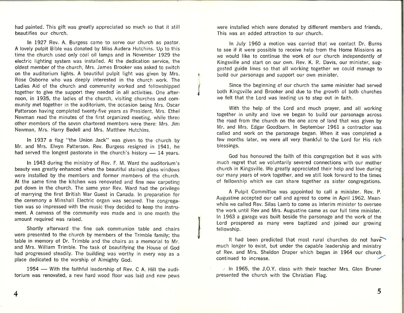had painted. This gift was greatly appreciated so much so that it still beautifies our church.

ln 1927 Rev. A. Burgess came to serve our church as pastor. A lovely pulpit Bible was donated by Miss Audera Hutchins. Up to this time the church used only coal oil lamps and in November 1929 the electric lighting system was installed. At the dedication service, the oldest mem'ber of the church, Mrs. James Brooker was asked to switch on the auditorium lights. A beautiful pulpit light was given by Mrs. Rose Osborne who was deeply interested in the church work. The Ladies Aid of the church and community worked and fellowshipped together to give the support they needed in all activities. One afternoon, in 1935, the ladies of the church, visiting churches and community met together in the auditorium, the occasion being Mrs. Oscar Patterson having completed twenty-five years as President. Mrs. Ethel Newman read the minutes of the first organized meeting, while threa other members of the seven chartered members were there: Mrs. Jim Newman, Mrs. Harry Bedell and Mrs. Matthew Hutchins.

ņ ì. I ,l

ln 1937 a Ílag "the Union Jack" was given to the church by Mr. and Mrs. Elwyn Patterson. Rev. Burgess resigned in 1941, he had served the longest pastorate in the church's history — 14 years.

ln 1943 during the ministry of Rev. F. M. Ward the auditorium's beauty was greatly enhanced when the beautiful stained glass windows were installed by the members and former members of the church. At the same time the kitchen was renovated and fine new carpeting put down in the church. The same year Rev. Ward had the privilege of marrying the first British War Guest in Canada. ln preparation for the ceremony a Minshall Electric organ was secured. The congregation was so impressed with the music they decided to keep the instrument. A canvass of the community was made and in one month the amount required was raised.

Shortly afterward the fine oak communion table and chairs were presented to the church by members of the Trimble family; the table in memory of Dr. Trimble and the chairs as a memorial to Mr. and Mrs. William Trimble. The task of beautifying the House of God had progressed steadily. The building was worthy in every way as <sup>a</sup> place dedicated to the worship of Almighty God.

1954 — With the faithful leadership of Rev. C A. Hill the audi-- torium was renovated, a new hard wood floor was laid and new pews were installed which were donated by different members and friends This was an added attraction to our church.

ln July 1960 a motion was carried that we contact Dr. Burns to see if it were possible to receive help from the Home Missions as we would like to continue the work of our church independently of Kingsville and start on our own. Rev, K. R. Davis, our minister, suggested guide lines so that all working together we could manage to build our parsonage and support our own minister.

Since the beginning of our church the same miníster had served both Kingsville and Brooker and due to the growth of both churches we felt that the Lord was leading us to step out in faith.

With the help of the Lord and much prayer, and all working together in unity and love we began to build our parsonage across the road from the church on the one acre of land that was given by Mr. and Mrs. Edgar Goodburn. ln September 1961 a contractor was called and work on the parsonage began. When it was completed a few months later, we were all very thankful to the Lord for His rich blessings.

God has honoured the faith of this congregation but it was with much regret that we voluntarily severed connections with our mother church in Kingsville. We greatly appreciated their help and love during our many years of work together, and we still look forward to the times of fellowship which we can share together as sister congregations.

A Pulpit Committee was appointed to call a minister. Rev. P. Augustine accepted our call and agreed to come in April 1962. Mean. while we called Rev. Silas Lamb to come as interim minister to oversee the work until Rev and Mrs. Augustine came as our full time minister. ln 1963 a garage was built beside the parsonage'and the work of the Lord prospered as many were baptized and joined our growing fellowship.

It had been predicted that most rural churches do not have much longer to exist, but under the capable leadership and ministry of Rev. and Mrs. Sheldon Draper which began in 1964 our church continued to increase.

 $\ge$  In 1965, the J.O.Y. class with their teacher Mrs. Glen Bruner presented the church with the Christian Flag.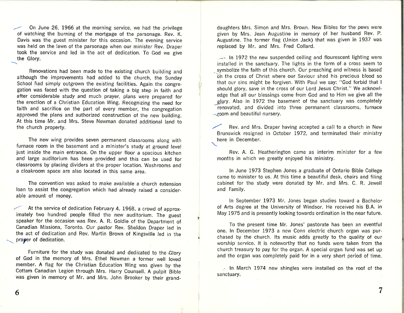On June 26, 1966 at the morning service, we had the privilege of watching the burning of the mortgage of the parsonage. Rev. K. Davis was the guest minister for this occasion. The evening service was held on the lawn of the parsonage when our minister Rev. Draper took the service and led in the act of dedication. To God we give the Glory.

Renovations had been made to the existing church building and although the improvements had added to the church, the Sunday School had simply outgrown the existing facilities. Again the congregation was faced with the question of taking a big step in faith and after considerable study and much prayer, plans were prepared for the erection of a Christian Education Wing. Recognizing the need for faith and sacrifice on the part of every member, the congregation approved the plans and authorized construction of the new building. At this time Mr. and Mrs. Steve Newman donated additional land to the church property,

The new wing provides seven permanent classrooms along with furnace room in the basement and a minister's study at ground level just inside the main entrance. On the upper floor a spacious kitchen and large auditorium has been provided and this can be used for classrooms by placing dividers at the proper location. Washrooms and a cloakroom space are also located in this same area.

The convention was asked to make available a church extension loan to assist the congregation which had already raised a considerable amount of money.

At the service of dedication February 4, 1968, a crowd of approximately two hundred people filled the new auditorium. The guest speaker for the occasion was Rev. A. R. Goldie of the Department of Canadìan Missions, Toronto. Our pastor Rev. Sheldon Draper led in the act of dedication and Rev. Martin Brown of Kingsville led in the prater of dedication.

 $\overline{a}$ 

Furniture for the study was donated and dedicated to the.Glory of God in the memory of Mrs. Ethel Newman a former well loved member. A flag for the Christian Education Wing was given by the Cottam Canadian Legion through Mrs. Harry Counsell. A pulpit Bible was given in memory of Mr. and Mrs. John Brooker by their grand-

daughters Mrs. Simon and Mrs. Brown. New Bibles for the pews were given by Mrs. Jean Augustine in memory of her husband Rev. P. Augustine. The former flag (Union Jack) that was given in 1937 was replaced by Mr. and Mrs. Fred Collard.

 $\rightarrow$  ln 1972 the new suspended ceiling and flourescent lighting were installed in the sanctuary. The lights in the form of a cross seem to symbolize the faith of this church. Our preaching and witness is based on the cross of Christ where our Saviour shed his precious blood so that our sins might be forgiven. With Paul we say: "God forbid that <sup>I</sup> should glory, save in the cross of our Lord Jesus Christ." We acknowledge that all our blessings come from God and to Him we give all the glory. Also in 1972 the basement of the sanctuary was completely renovated, and divided into three permanent classrooms, furnace **-room** and beautiful nursery.

Rev. and Mrs. Draper having accepted a call to a church in New Brunswick resigned in October 1972, and terminated their ministry here in December.

Rev. A. G. Heatherington came as interim minister for a few months in which we greatly enjoyed his ministry.

ln June 1973 Stephen Jones a graduate of Ontario Bible College came to minister to us. At this time a beautiful desk, chairs and filing cabinet for the study were donated by Mr. and Mrs. C. R. Jewell and Family.

ln September 1973 Mr. Jones began studies toward a Bachelor of Arts degree at the University of Windsor. Hè received his B.A. in May 1975 and is presently looking towards ordination in the near future.

To the present time Mr. Jones' pastorate has been an eventful one. ln December L973 a new Conn electric church organ was purchased by the church. lts music adds greatly to the quality of our worship service. lt is noteworthy that no funds were taken from the church treasury to pay for the organ. A special organ fund was set up and the organ was completely paid for in a very short period of time.

 $\therefore$  In March 1974 new shingles were installed on the roof of the sanctuary.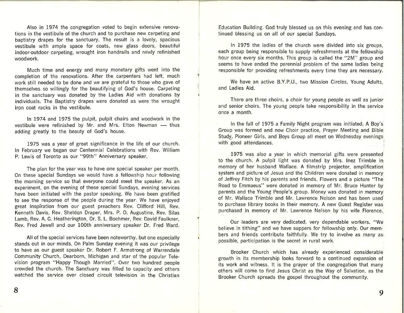Also in 1974 the congregation voted to begin extensive renovations in the vestibule of the church and to purchase new carpeting and baptistry drapes for the sanctuary. The result is a lovely, spacious vestibule with ample space for coats, new glass doors, beautiful indoor-outdoor carpeting, wrought iron handrails and newly refinished woodwork.

Much time and energy and many monetary gifts went into the completion of the renovations. After the carpenters had left, much work still needed to be done and we are grateful to those who gave of themselves so willingly for the beautifying of God's house. Carpeting in the sanctuary was donated by the Ladies Aid with donations by individuals. The Baptistry drapes were donated as were the wrought iron coat racks in the vestibule.

T

ç

a

ln 1974 and 7975 the pulpit, pulpit chairs and woodwork in the vestibule were refinished by Mr. and Mrs. Elton Newman — thus<br>adding greatly to the beauty of God's house. adding greatly to the beauty of God's house.

1975 was a year of great significance in the life of our church. ln February we began our Centennial Celebrations with Rev. William P. Lewis of Toronto as our "99th" Anniversary speaker.

The plan for the year was to have one special speaker per month. On these special Sundays we would have a fellowship hour following the morning service so that everyone could meet the speaker. As an experiment, on the evening of these special Sundays, evening services have been initiated with the pastor speaking. We have been gratified to see the response of the people during the year. We have enjoyed great inspiration from our guest preachers Rev. Clifford Hill, Rev. Kenneth Davis, Rev. Sheldon Draper, Mrs. P. D. Augustine, Rev. Silas Lamb, Rev. A. G. Heatherington, Dr. S. L. Boehmer, Rev, David Faulkner, Rev. Fred Jewell and our l00th anniversary speaker Dr. Fred Ward.

All of the special services have been noteworthy, but one especially stands out in our minds. On Palm Sunday evening it was our privilege to have as our guest speaker Dr. Robert F. Armstrong of Warrendale Community Church, Dearborn, Michigan and star of the popular Television program "Happy Though Married". Over two hundred people crowded the church. The Sanctuary was filled to capacity and others watched the service over closed circuit television in the Christian

Education Building. God truly blessed us on this evening and has continued blessing us on all of our special Sundays.

ln 1975 the ladies of the church were divided into six groups, each group being responsible to supply refreshments at the fellowship hour once every six months. This group is called the "2M" group and seems to have ended the perennial problem of the same ladies being responsible for providing refreshments every time they are necessary.

We have an active B.Y.P.U., two Mission Circles, Young Adults, and Ladies Aid.

There are three choirs, a choir for young people as well as junior and senior choirs. The young people take responsibility in the service once a month.

ln the fall of 1975 a Family Night program was initiated. A Boy's Group was formed and now Choir practice, Prayer Meeting and Bible Study, Pioneer Girls, and Boys Group all meet on Wednesday evenings with good attendances.

1975 was also a year in which memorial gifts were presented to the church. A pulpit light was donated by Mrs. Inez Trimble in memory of her husband Wallace. A filmstrip projector, amplification system and picture of Jesus and the Children were donated in memory of Jeffrey Fitch by his parents and friends. Flowers and a picture "The Road to Emmaeus" were donated in memory of Mr. Bruce Hunter by parents and the Young People's group. Money was donated in memory of Mr. Wallace Trimble and Mr. Lawrence Nelson and has been used to purchase library books in their memory. A new Guest Register was, purchased in memory of Mr. Lawrence Nelson by his wife Florence.

Our leaders are very dedicated, very dependable workers. "We believe in tithing" and we have suppers for fellowship only. Our mem. bers and friends contribute faithfully. We try to involve as many as: possible, participation is the secret in rural work.

Brooker Church which has already experienced considerable growth in its membership looks forward to a continued expansion of its work and witness. lt is the prayer of the congregation that many others will come to fínd Jesus Christ as the Way of Salvation, as the Brooker Church spreads the gospel throughout the community.